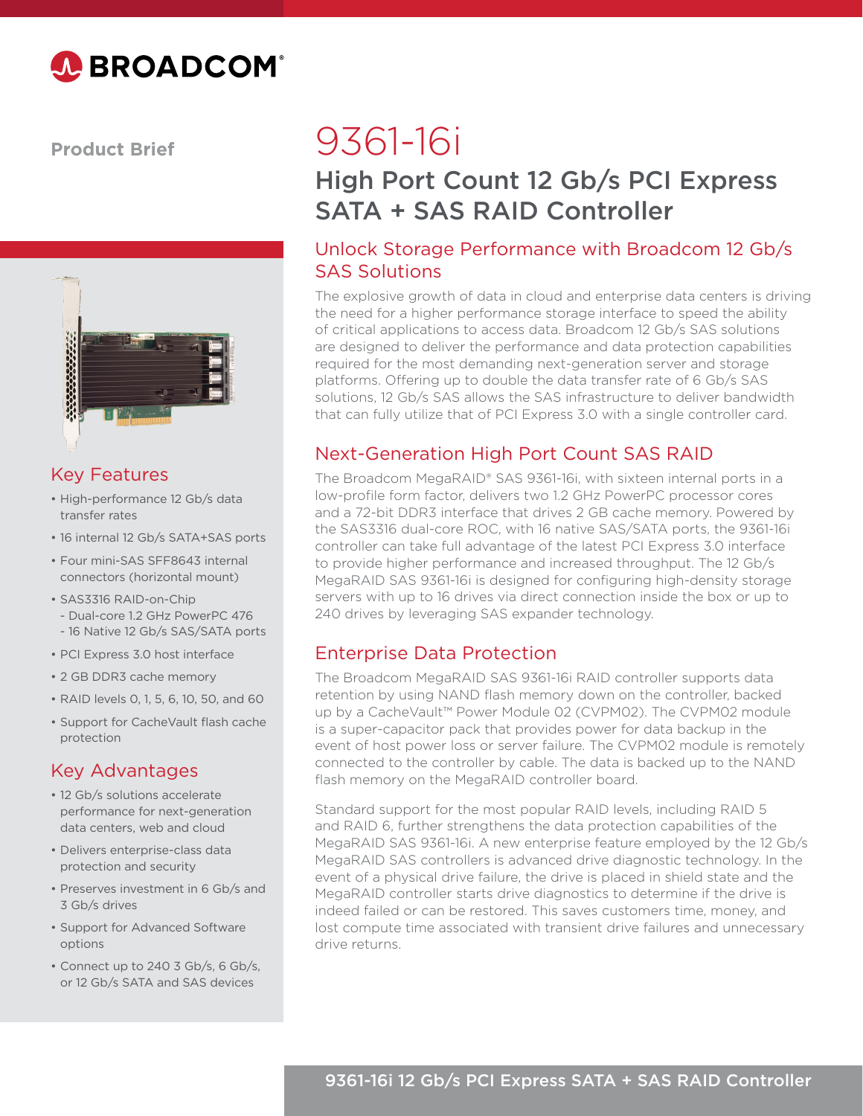

**Product Brief**



### Key Features

- High-performance 12 Gb/s data transfer rates
- 16 internal 12 Gb/s SATA+SAS ports
- Four mini-SAS SFF8643 internal connectors (horizontal mount)
- SAS3316 RAID-on-Chip
- Dual-core 1.2 GHz PowerPC 476
- 16 Native 12 Gb/s SAS/SATA ports
- PCI Express 3.0 host interface
- 2 GB DDR3 cache memory
- RAID levels 0, 1, 5, 6, 10, 50, and 60
- Support for CacheVault flash cache protection

#### Key Advantages

- 12 Gb/s solutions accelerate performance for next-generation data centers, web and cloud
- Delivers enterprise-class data protection and security
- Preserves investment in 6 Gb/s and 3 Gb/s drives
- Support for Advanced Software options
- Connect up to 240 3 Gb/s, 6 Gb/s, or 12 Gb/s SATA and SAS devices

# 9361-16i

## High Port Count 12 Gb/s PCI Express SATA + SAS RAID Controller

#### Unlock Storage Performance with Broadcom 12 Gb/s SAS Solutions

The explosive growth of data in cloud and enterprise data centers is driving the need for a higher performance storage interface to speed the ability of critical applications to access data. Broadcom 12 Gb/s SAS solutions are designed to deliver the performance and data protection capabilities required for the most demanding next-generation server and storage platforms. Offering up to double the data transfer rate of 6 Gb/s SAS solutions, 12 Gb/s SAS allows the SAS infrastructure to deliver bandwidth that can fully utilize that of PCI Express 3.0 with a single controller card.

#### Next-Generation High Port Count SAS RAID

The Broadcom MegaRAID® SAS 9361-16i, with sixteen internal ports in a low-profile form factor, delivers two 1.2 GHz PowerPC processor cores and a 72-bit DDR3 interface that drives 2 GB cache memory. Powered by the SAS3316 dual-core ROC, with 16 native SAS/SATA ports, the 9361-16i controller can take full advantage of the latest PCI Express 3.0 interface to provide higher performance and increased throughput. The 12 Gb/s MegaRAID SAS 9361-16i is designed for configuring high-density storage servers with up to 16 drives via direct connection inside the box or up to 240 drives by leveraging SAS expander technology.

#### Enterprise Data Protection

The Broadcom MegaRAID SAS 9361-16i RAID controller supports data retention by using NAND flash memory down on the controller, backed up by a CacheVault™ Power Module 02 (CVPM02). The CVPM02 module is a super-capacitor pack that provides power for data backup in the event of host power loss or server failure. The CVPM02 module is remotely connected to the controller by cable. The data is backed up to the NAND flash memory on the MegaRAID controller board.

Standard support for the most popular RAID levels, including RAID 5 and RAID 6, further strengthens the data protection capabilities of the MegaRAID SAS 9361-16i. A new enterprise feature employed by the 12 Gb/s MegaRAID SAS controllers is advanced drive diagnostic technology. In the event of a physical drive failure, the drive is placed in shield state and the MegaRAID controller starts drive diagnostics to determine if the drive is indeed failed or can be restored. This saves customers time, money, and lost compute time associated with transient drive failures and unnecessary drive returns.